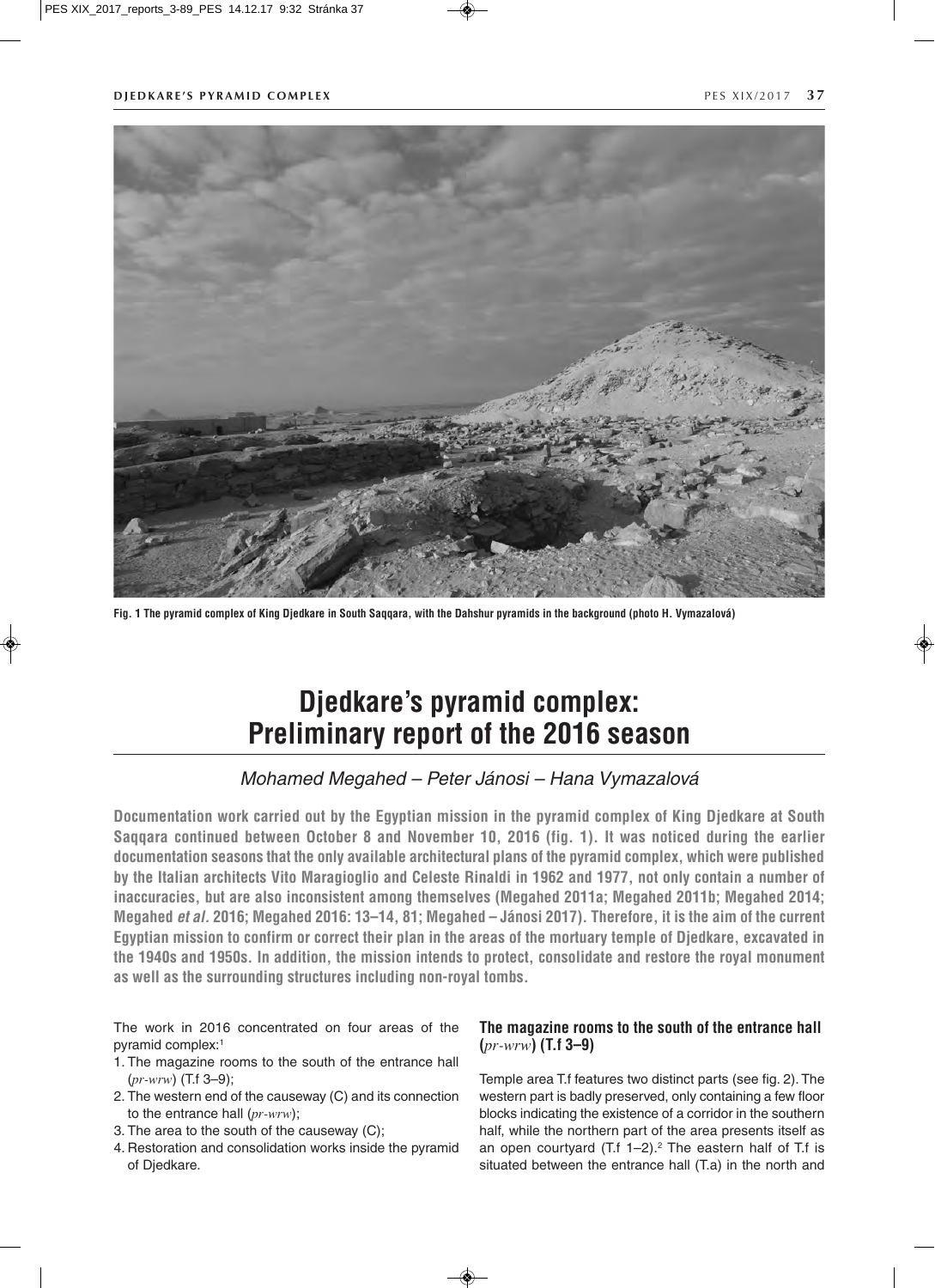

**Fig. 1 The pyramid complex of King Djedkare in South Saqqara, with the Dahshur pyramids in the background (photo H. Vymazalová)**

# **Djedkare's pyramid complex: Preliminary report of the 2016 season**

# *Mohamed Megahed – Peter Jánosi – Hana Vymazalová*

**Documentation work carried out by the Egyptian mission in the pyramid complex of King Djedkare at South Saqqara continued between October 8 and November 10, 2016 (fig. 1). It was noticed during the earlier documentation seasons that the only available architectural plans of the pyramid complex, which were published by the Italian architects Vito Maragioglio and Celeste Rinaldi in 1962 and 1977, not only contain a number of inaccuracies, but are also inconsistent among themselves (Megahed 2011a; Megahed 2011b; Megahed 2014; Megahed** *et al.* **2016; Megahed 2016: 13–14, 81; Megahed – Jánosi 2017). Therefore, it is the aim of the current Egyptian mission to confirm or correct their plan in the areas of the mortuary temple of Djedkare, excavated in the 1940s and 1950s. In addition, the mission intends to protect, consolidate and restore the royal monument as well as the surrounding structures including non-royal tombs.**

The work in 2016 concentrated on four areas of the pyramid complex:1

- 1. The magazine rooms to the south of the entrance hall  $(pr-wrw)$  (T.f 3–9);
- 2. The western end of the causeway (C) and its connection to the entrance hall  $(pr\text{-}wrw)$ ;
- 3. The area to the south of the causeway (C);
- 4. Restoration and consolidation works inside the pyramid of Djedkare.

# **The magazine rooms to the south of the entrance hall (**pr-wrw**) (T.f 3–9)**

Temple area T.f features two distinct parts (see fig. 2). The western part is badly preserved, only containing a few floor blocks indicating the existence of a corridor in the southern half, while the northern part of the area presents itself as an open courtyard (T.f  $1-2$ ).<sup>2</sup> The eastern half of T.f is situated between the entrance hall (T.a) in the north and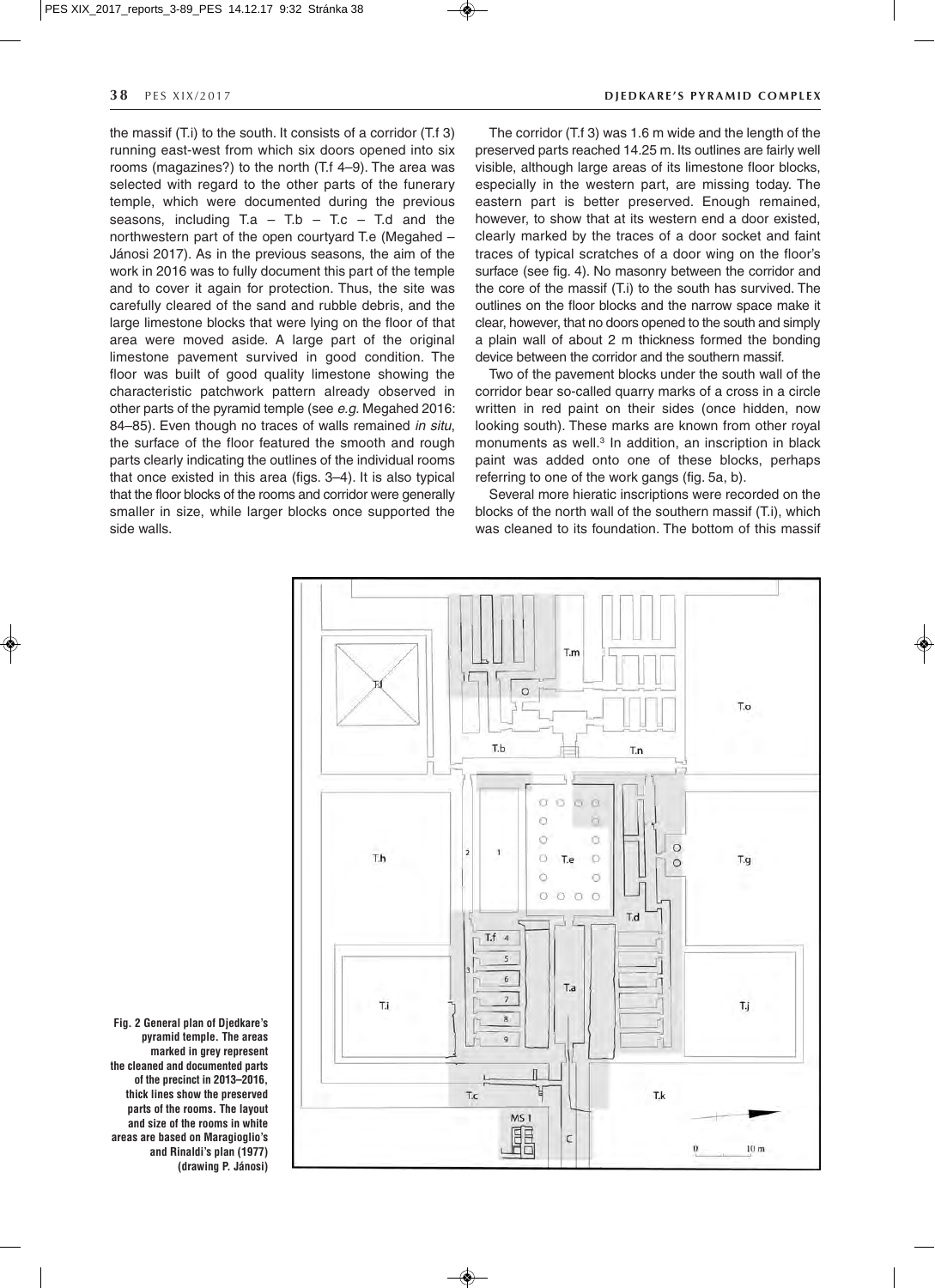the massif (T.i) to the south. It consists of a corridor (T.f 3) running east-west from which six doors opened into six rooms (magazines?) to the north (T.f 4–9). The area was selected with regard to the other parts of the funerary temple, which were documented during the previous seasons, including  $Ta - T.b - T.c - T.d$  and the northwestern part of the open courtyard T.e (Megahed – Jánosi 2017). As in the previous seasons, the aim of the work in 2016 was to fully document this part of the temple and to cover it again for protection. Thus, the site was carefully cleared of the sand and rubble debris, and the large limestone blocks that were lying on the floor of that area were moved aside. A large part of the original limestone pavement survived in good condition. The floor was built of good quality limestone showing the characteristic patchwork pattern already observed in other parts of the pyramid temple (see *e.g.* Megahed 2016: 84–85). Even though no traces of walls remained *in situ*, the surface of the floor featured the smooth and rough parts clearly indicating the outlines of the individual rooms that once existed in this area (figs. 3–4). It is also typical that the floor blocks of the rooms and corridor were generally smaller in size, while larger blocks once supported the side walls.

### **38** PES XIX/2017 **DIEDKARE'S PYRAMID COMPLEX**

The corridor (T.f 3) was 1.6 m wide and the length of the preserved parts reached 14.25 m. Its outlines are fairly well visible, although large areas of its limestone floor blocks, especially in the western part, are missing today. The eastern part is better preserved. Enough remained, however, to show that at its western end a door existed, clearly marked by the traces of a door socket and faint traces of typical scratches of a door wing on the floor's surface (see fig. 4). No masonry between the corridor and the core of the massif (T.i) to the south has survived. The outlines on the floor blocks and the narrow space make it clear, however, that no doors opened to the south and simply a plain wall of about 2 m thickness formed the bonding device between the corridor and the southern massif.

Two of the pavement blocks under the south wall of the corridor bear so-called quarry marks of a cross in a circle written in red paint on their sides (once hidden, now looking south). These marks are known from other royal monuments as well.<sup>3</sup> In addition, an inscription in black paint was added onto one of these blocks, perhaps referring to one of the work gangs (fig. 5a, b).

Several more hieratic inscriptions were recorded on the blocks of the north wall of the southern massif (T.i), which was cleaned to its foundation. The bottom of this massif



◈

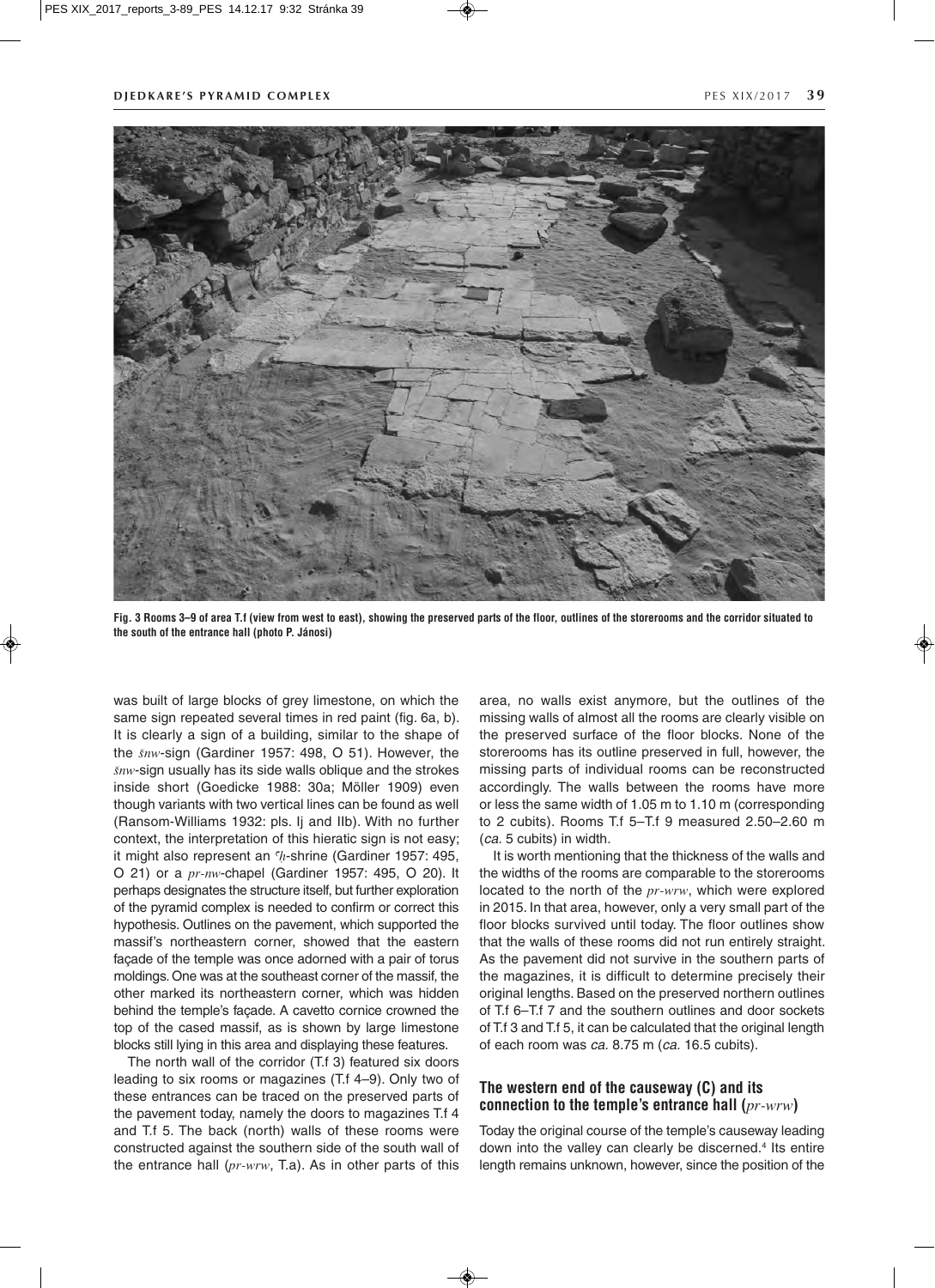

**Fig. 3 Rooms 3–9 of area T.f (view from west to east), showing the preserved parts of the floor, outlines of the storerooms and the corridor situated to the south of the entrance hall (photo P. Jánosi)**

was built of large blocks of grey limestone, on which the same sign repeated several times in red paint (fig. 6a, b). It is clearly a sign of a building, similar to the shape of the Snw-sign (Gardiner 1957: 498, O 51). However, the  $\delta n w$ -sign usually has its side walls oblique and the strokes inside short (Goedicke 1988: 30a; Möller 1909) even though variants with two vertical lines can be found as well (Ransom-Williams 1932: pls. Ij and IIb). With no further context, the interpretation of this hieratic sign is not easy; it might also represent an  $h$ -shrine (Gardiner 1957: 495, O 21) or a pr-nw-chapel (Gardiner 1957: 495, O 20). It perhaps designates the structure itself, but further exploration of the pyramid complex is needed to confirm or correct this hypothesis. Outlines on the pavement, which supported the massif's northeastern corner, showed that the eastern façade of the temple was once adorned with a pair of torus moldings. One was at the southeast corner of the massif, the other marked its northeastern corner, which was hidden behind the temple's façade. A cavetto cornice crowned the top of the cased massif, as is shown by large limestone blocks still lying in this area and displaying these features.

The north wall of the corridor (T.f 3) featured six doors leading to six rooms or magazines (T.f 4–9). Only two of these entrances can be traced on the preserved parts of the pavement today, namely the doors to magazines T.f 4 and T.f 5. The back (north) walls of these rooms were constructed against the southern side of the south wall of the entrance hall  $(pr-wrw, T.a)$ . As in other parts of this area, no walls exist anymore, but the outlines of the missing walls of almost all the rooms are clearly visible on the preserved surface of the floor blocks. None of the storerooms has its outline preserved in full, however, the missing parts of individual rooms can be reconstructed accordingly. The walls between the rooms have more or less the same width of 1.05 m to 1.10 m (corresponding to 2 cubits). Rooms T.f 5–T.f 9 measured 2.50–2.60 m (*ca.* 5 cubits) in width.

It is worth mentioning that the thickness of the walls and the widths of the rooms are comparable to the storerooms located to the north of the  $pr\text{-}wrw$ , which were explored in 2015. In that area, however, only a very small part of the floor blocks survived until today. The floor outlines show that the walls of these rooms did not run entirely straight. As the pavement did not survive in the southern parts of the magazines, it is difficult to determine precisely their original lengths. Based on the preserved northern outlines of T.f 6–T.f 7 and the southern outlines and door sockets of T.f 3 and T.f 5, it can be calculated that the original length of each room was *ca.* 8.75 m (*ca.* 16.5 cubits).

# **The western end of the causeway (C) and its connection to the temple's entrance hall (**pr-wrw**)**

Today the original course of the temple's causeway leading down into the valley can clearly be discerned.<sup>4</sup> Its entire length remains unknown, however, since the position of the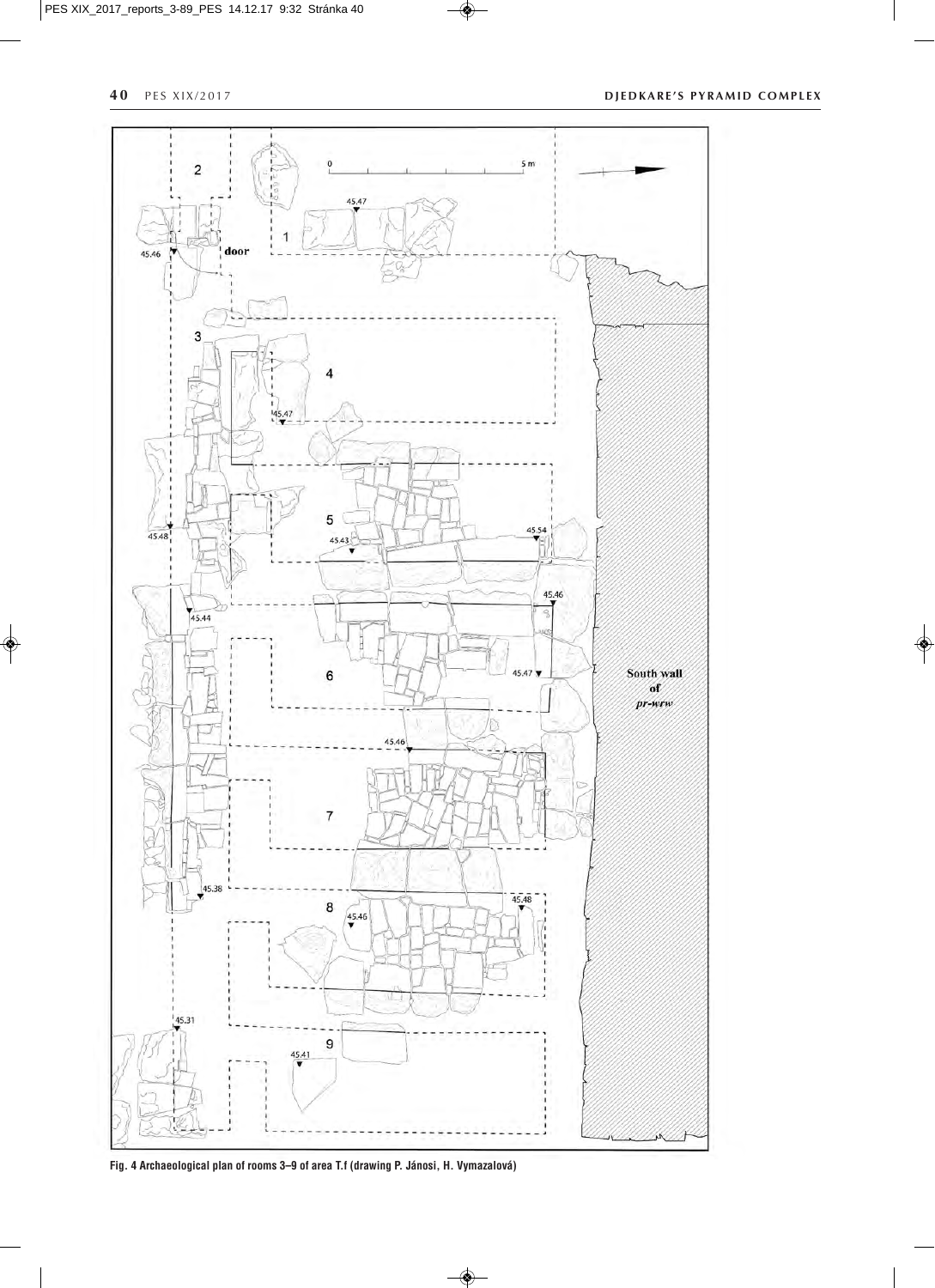$\clubsuit$ 

**40** PES XIX/2017 **DJEDKARE'S PYRAMID COMPLEX** 

 $\bullet$ 



 $\circledast$ 

**Fig. 4 Archaeological plan of rooms 3–9 of area T.f (drawing P. Jánosi, H. Vymazalová)**

 $\circledast$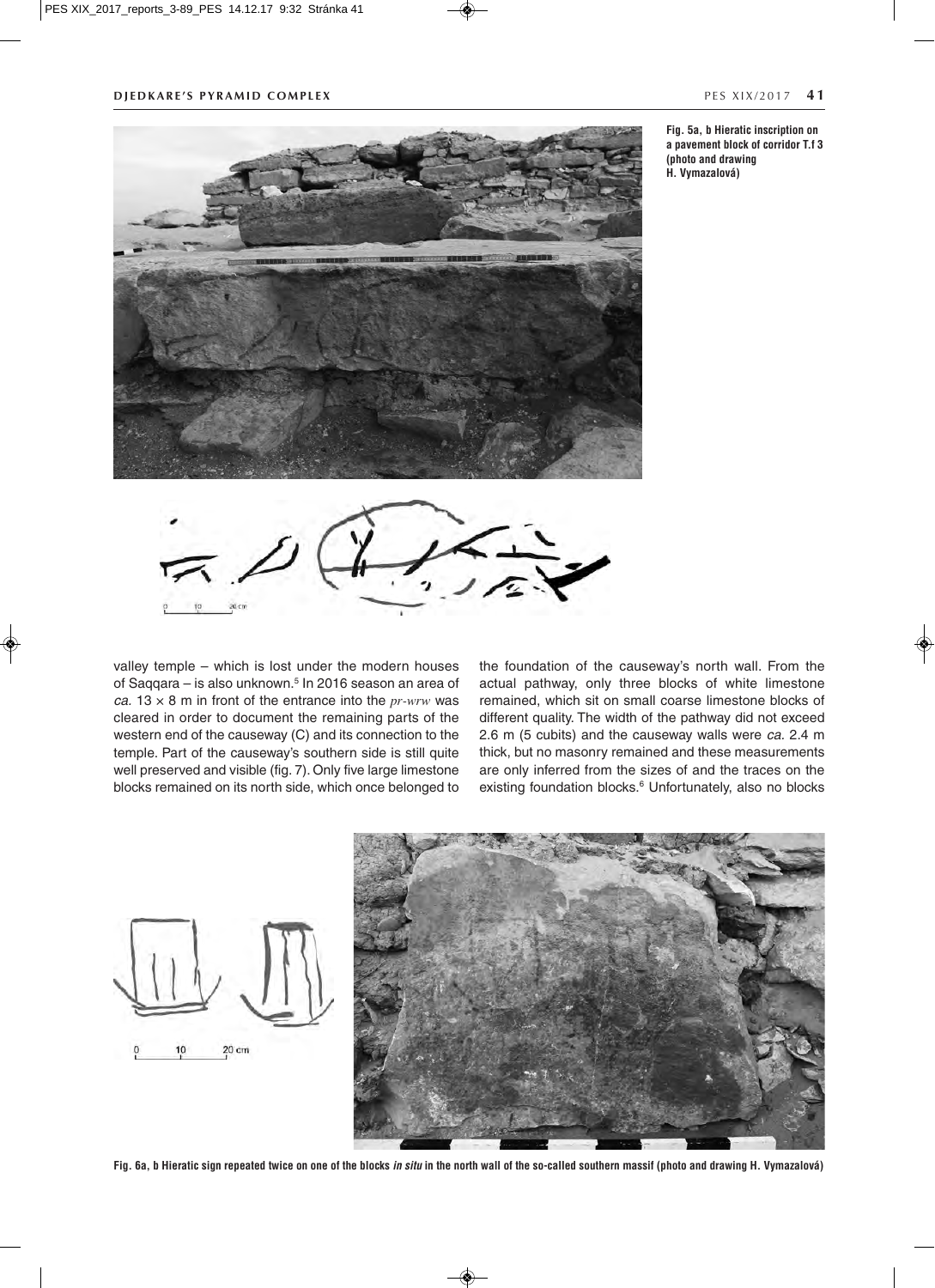

**Fig. 5a, b Hieratic inscription on a pavement block of corridor T.f 3 (photo and drawing H. Vymazalová)**



valley temple – which is lost under the modern houses of Saqqara – is also unknown.<sup>5</sup> In 2016 season an area of *ca.* 13  $\times$  8 m in front of the entrance into the *pr-wrw* was cleared in order to document the remaining parts of the western end of the causeway (C) and its connection to the temple. Part of the causeway's southern side is still quite well preserved and visible (fig. 7). Only five large limestone blocks remained on its north side, which once belonged to the foundation of the causeway's north wall. From the actual pathway, only three blocks of white limestone remained, which sit on small coarse limestone blocks of different quality. The width of the pathway did not exceed 2.6 m (5 cubits) and the causeway walls were *ca.* 2.4 m thick, but no masonry remained and these measurements are only inferred from the sizes of and the traces on the existing foundation blocks.<sup>6</sup> Unfortunately, also no blocks





**Fig. 6a, b Hieratic sign repeated twice on one of the blocks** *in situ* **in the north wall of the so-called southern massif (photo and drawing H. Vymazalová)**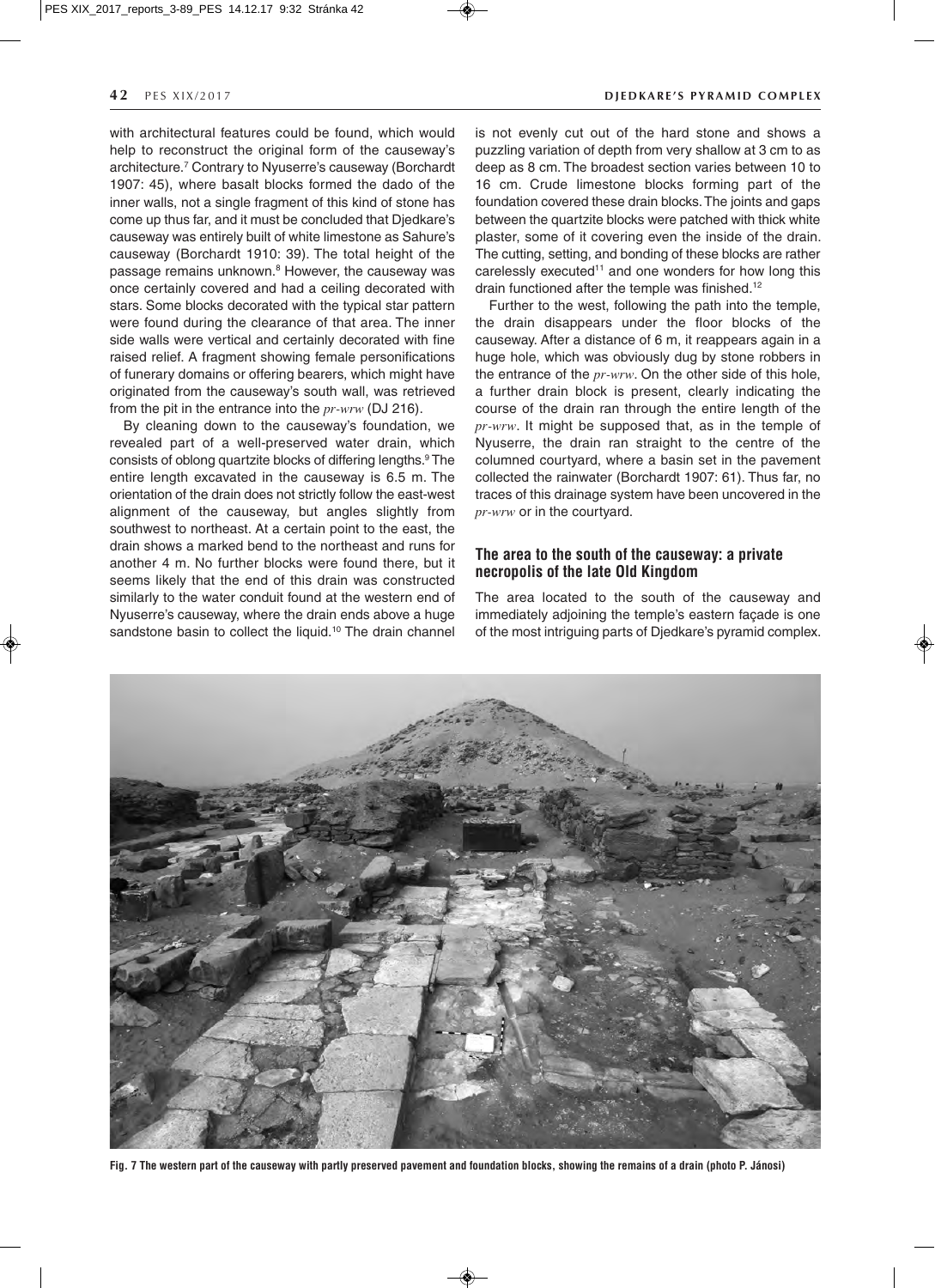with architectural features could be found, which would help to reconstruct the original form of the causeway's architecture.7 Contrary to Nyuserre's causeway (Borchardt 1907: 45), where basalt blocks formed the dado of the inner walls, not a single fragment of this kind of stone has come up thus far, and it must be concluded that Djedkare's causeway was entirely built of white limestone as Sahure's causeway (Borchardt 1910: 39). The total height of the passage remains unknown.<sup>8</sup> However, the causeway was once certainly covered and had a ceiling decorated with stars. Some blocks decorated with the typical star pattern were found during the clearance of that area. The inner side walls were vertical and certainly decorated with fine raised relief. A fragment showing female personifications of funerary domains or offering bearers, which might have originated from the causeway's south wall, was retrieved from the pit in the entrance into the  $pr\text{-}wrw$  (DJ 216).

By cleaning down to the causeway's foundation, we revealed part of a well-preserved water drain, which consists of oblong quartzite blocks of differing lengths.9 The entire length excavated in the causeway is 6.5 m. The orientation of the drain does not strictly follow the east-west alignment of the causeway, but angles slightly from southwest to northeast. At a certain point to the east, the drain shows a marked bend to the northeast and runs for another 4 m. No further blocks were found there, but it seems likely that the end of this drain was constructed similarly to the water conduit found at the western end of Nyuserre's causeway, where the drain ends above a huge sandstone basin to collect the liquid.<sup>10</sup> The drain channel

is not evenly cut out of the hard stone and shows a puzzling variation of depth from very shallow at 3 cm to as deep as 8 cm. The broadest section varies between 10 to 16 cm. Crude limestone blocks forming part of the foundation covered these drain blocks. The joints and gaps between the quartzite blocks were patched with thick white plaster, some of it covering even the inside of the drain. The cutting, setting, and bonding of these blocks are rather carelessly executed<sup>11</sup> and one wonders for how long this drain functioned after the temple was finished.<sup>12</sup>

Further to the west, following the path into the temple, the drain disappears under the floor blocks of the causeway. After a distance of 6 m, it reappears again in a huge hole, which was obviously dug by stone robbers in the entrance of the  $pr\text{-}wrw$ . On the other side of this hole, a further drain block is present, clearly indicating the course of the drain ran through the entire length of the pr-wrw. It might be supposed that, as in the temple of Nyuserre, the drain ran straight to the centre of the columned courtyard, where a basin set in the pavement collected the rainwater (Borchardt 1907: 61). Thus far, no traces of this drainage system have been uncovered in the pr-wrw or in the courtyard.

# **The area to the south of the causeway: a private necropolis of the late Old Kingdom**

The area located to the south of the causeway and immediately adjoining the temple's eastern façade is one of the most intriguing parts of Djedkare's pyramid complex.



**Fig. 7 The western part of the causeway with partly preserved pavement and foundation blocks, showing the remains of a drain (photo P. Jánosi)**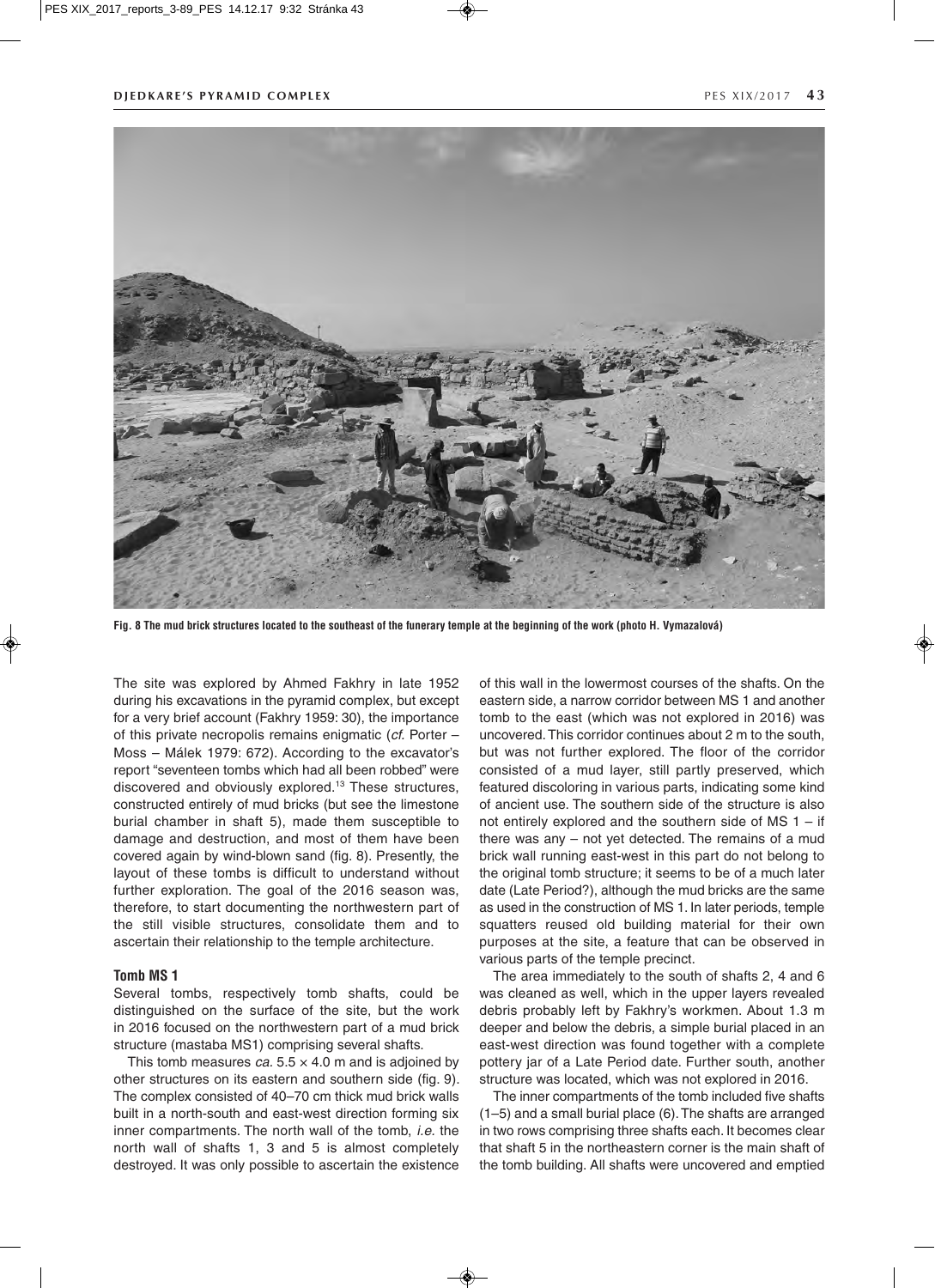

**Fig. 8 The mud brick structures located to the southeast of the funerary temple at the beginning of the work (photo H. Vymazalová)**

The site was explored by Ahmed Fakhry in late 1952 during his excavations in the pyramid complex, but except for a very brief account (Fakhry 1959: 30), the importance of this private necropolis remains enigmatic (*cf.* Porter – Moss – Málek 1979: 672). According to the excavator's report "seventeen tombs which had all been robbed" were discovered and obviously explored.13 These structures, constructed entirely of mud bricks (but see the limestone burial chamber in shaft 5), made them susceptible to damage and destruction, and most of them have been covered again by wind-blown sand (fig. 8). Presently, the layout of these tombs is difficult to understand without further exploration. The goal of the 2016 season was, therefore, to start documenting the northwestern part of the still visible structures, consolidate them and to ascertain their relationship to the temple architecture.

#### **Tomb MS 1**

Several tombs, respectively tomb shafts, could be distinguished on the surface of the site, but the work in 2016 focused on the northwestern part of a mud brick structure (mastaba MS1) comprising several shafts.

This tomb measures  $ca. 5.5 \times 4.0$  m and is adjoined by other structures on its eastern and southern side (fig. 9). The complex consisted of 40–70 cm thick mud brick walls built in a north-south and east-west direction forming six inner compartments. The north wall of the tomb, *i.e.* the north wall of shafts 1, 3 and 5 is almost completely destroyed. It was only possible to ascertain the existence

of this wall in the lowermost courses of the shafts. On the eastern side, a narrow corridor between MS 1 and another tomb to the east (which was not explored in 2016) was uncovered. This corridor continues about 2 m to the south, but was not further explored. The floor of the corridor consisted of a mud layer, still partly preserved, which featured discoloring in various parts, indicating some kind of ancient use. The southern side of the structure is also not entirely explored and the southern side of  $MS$  1 – if there was any – not yet detected. The remains of a mud brick wall running east-west in this part do not belong to the original tomb structure; it seems to be of a much later date (Late Period?), although the mud bricks are the same as used in the construction of MS 1. In later periods, temple squatters reused old building material for their own purposes at the site, a feature that can be observed in various parts of the temple precinct.

The area immediately to the south of shafts 2, 4 and 6 was cleaned as well, which in the upper layers revealed debris probably left by Fakhry's workmen. About 1.3 m deeper and below the debris, a simple burial placed in an east-west direction was found together with a complete pottery jar of a Late Period date. Further south, another structure was located, which was not explored in 2016.

The inner compartments of the tomb included five shafts (1–5) and a small burial place (6). The shafts are arranged in two rows comprising three shafts each. It becomes clear that shaft 5 in the northeastern corner is the main shaft of the tomb building. All shafts were uncovered and emptied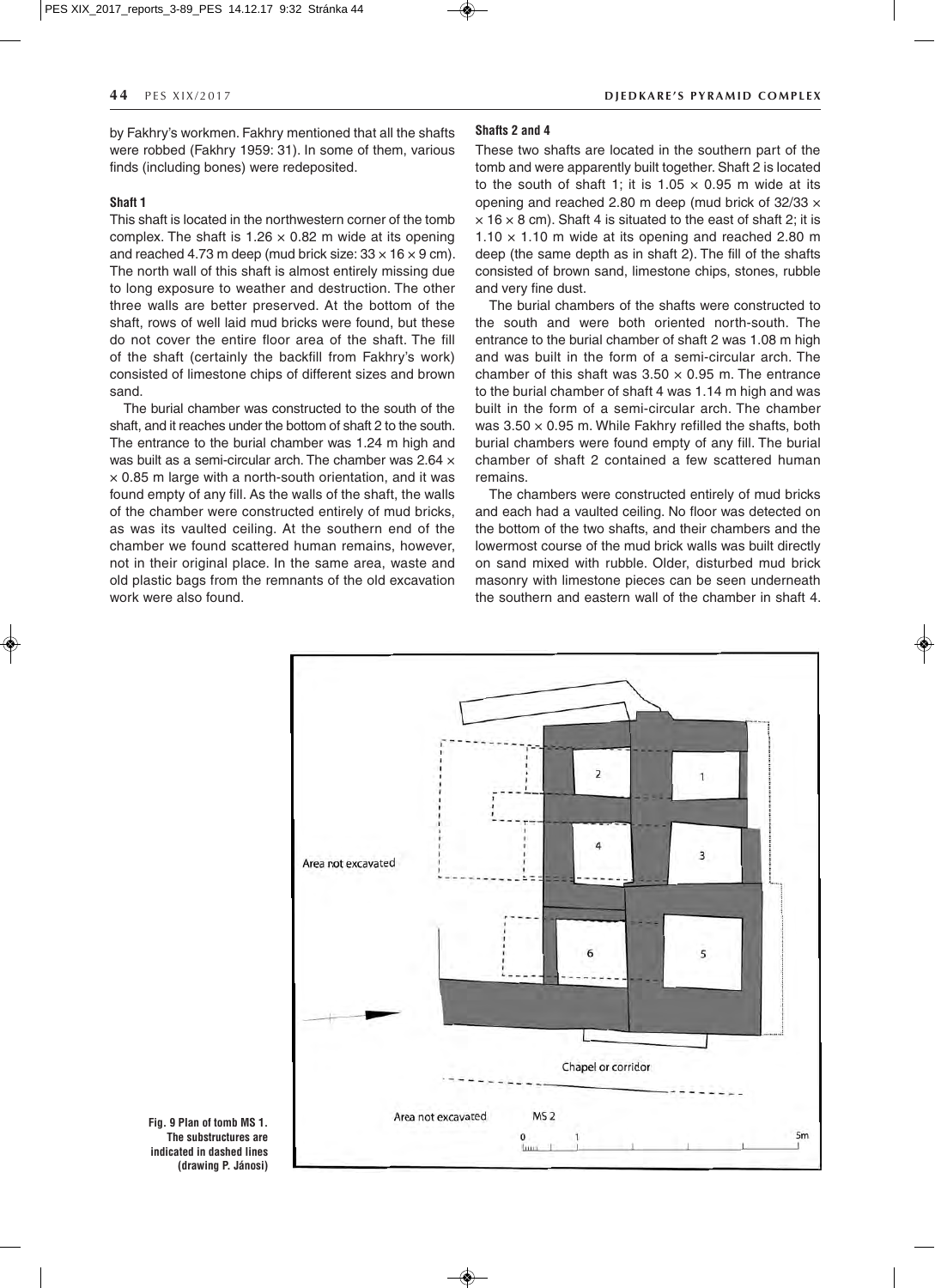by Fakhry's workmen. Fakhry mentioned that all the shafts were robbed (Fakhry 1959: 31). In some of them, various finds (including bones) were redeposited.

### **Shaft 1**

This shaft is located in the northwestern corner of the tomb complex. The shaft is  $1.26 \times 0.82$  m wide at its opening and reached 4.73 m deep (mud brick size:  $33 \times 16 \times 9$  cm). The north wall of this shaft is almost entirely missing due to long exposure to weather and destruction. The other three walls are better preserved. At the bottom of the shaft, rows of well laid mud bricks were found, but these do not cover the entire floor area of the shaft. The fill of the shaft (certainly the backfill from Fakhry's work) consisted of limestone chips of different sizes and brown sand.

The burial chamber was constructed to the south of the shaft, and it reaches under the bottom of shaft 2 to the south. The entrance to the burial chamber was 1.24 m high and was built as a semi-circular arch. The chamber was 2.64  $\times$  $\times$  0.85 m large with a north-south orientation, and it was found empty of any fill. As the walls of the shaft, the walls of the chamber were constructed entirely of mud bricks, as was its vaulted ceiling. At the southern end of the chamber we found scattered human remains, however, not in their original place. In the same area, waste and old plastic bags from the remnants of the old excavation work were also found.

### **44** PFS XIX/2017 **DIFDKARF'S PYRAMID COMPLEX**

# **Shafts 2 and 4**

These two shafts are located in the southern part of the tomb and were apparently built together. Shaft 2 is located to the south of shaft 1; it is  $1.05 \times 0.95$  m wide at its opening and reached 2.80 m deep (mud brick of  $32/33 \times$  $\times$  16  $\times$  8 cm). Shaft 4 is situated to the east of shaft 2; it is  $1.10 \times 1.10$  m wide at its opening and reached 2.80 m deep (the same depth as in shaft 2). The fill of the shafts consisted of brown sand, limestone chips, stones, rubble and very fine dust.

The burial chambers of the shafts were constructed to the south and were both oriented north-south. The entrance to the burial chamber of shaft 2 was 1.08 m high and was built in the form of a semi-circular arch. The chamber of this shaft was  $3.50 \times 0.95$  m. The entrance to the burial chamber of shaft 4 was 1.14 m high and was built in the form of a semi-circular arch. The chamber was  $3.50 \times 0.95$  m. While Fakhry refilled the shafts, both burial chambers were found empty of any fill. The burial chamber of shaft 2 contained a few scattered human remains.

The chambers were constructed entirely of mud bricks and each had a vaulted ceiling. No floor was detected on the bottom of the two shafts, and their chambers and the lowermost course of the mud brick walls was built directly on sand mixed with rubble. Older, disturbed mud brick masonry with limestone pieces can be seen underneath the southern and eastern wall of the chamber in shaft 4.



◈

**Fig. 9 Plan of tomb MS 1. The substructures are indicated in dashed lines (drawing P. Jánosi)**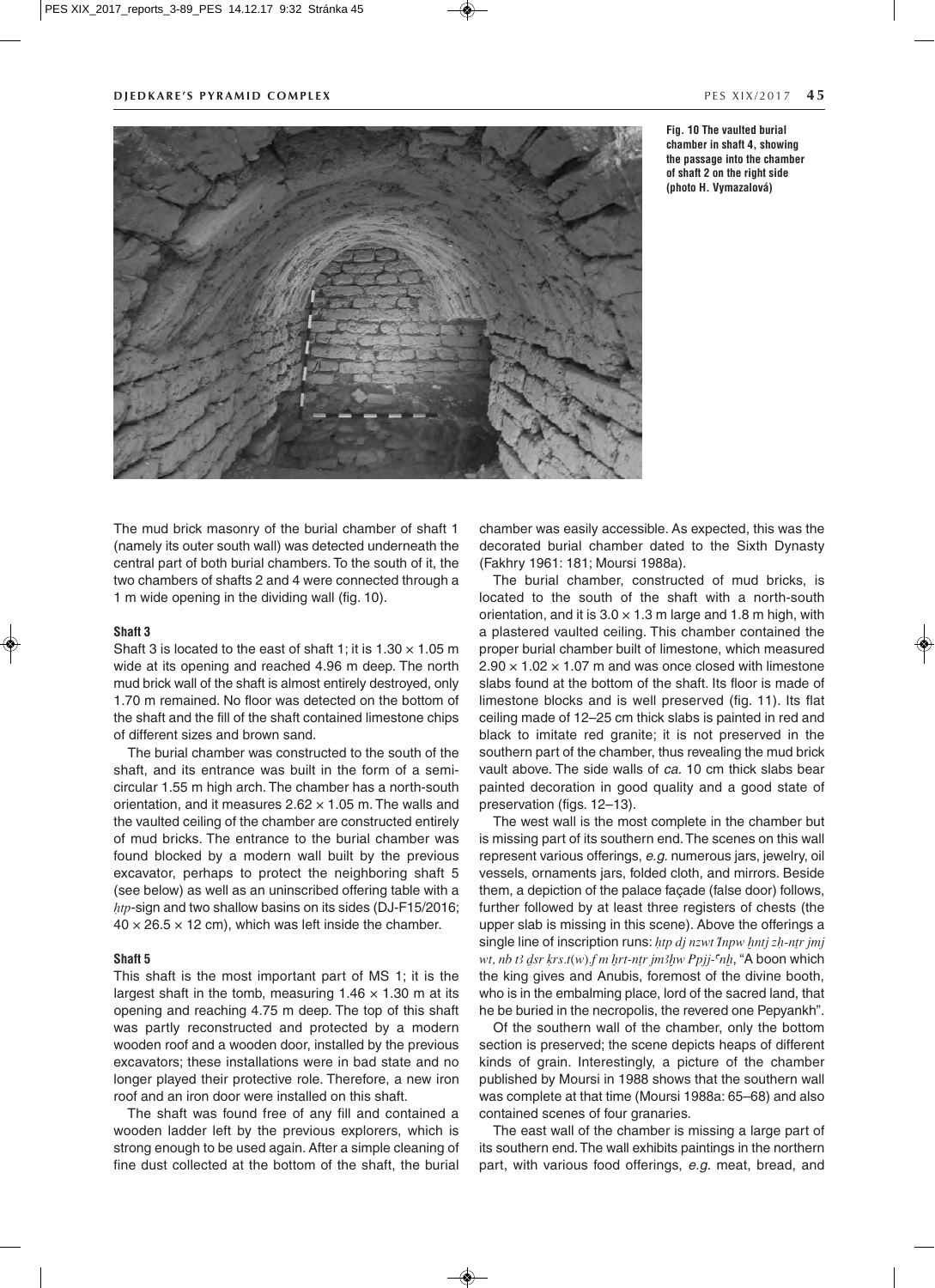

**Fig. 10 The vaulted burial chamber in shaft 4, showing the passage into the chamber of shaft 2 on the right side (photo H. Vymazalová)**

The mud brick masonry of the burial chamber of shaft 1 (namely its outer south wall) was detected underneath the central part of both burial chambers. To the south of it, the two chambers of shafts 2 and 4 were connected through a 1 m wide opening in the dividing wall (fig. 10).

### **Shaft 3**

Shaft 3 is located to the east of shaft 1; it is  $1.30 \times 1.05$  m wide at its opening and reached 4.96 m deep. The north mud brick wall of the shaft is almost entirely destroyed, only 1.70 m remained. No floor was detected on the bottom of the shaft and the fill of the shaft contained limestone chips of different sizes and brown sand.

The burial chamber was constructed to the south of the shaft, and its entrance was built in the form of a semicircular 1.55 m high arch. The chamber has a north-south orientation, and it measures  $2.62 \times 1.05$  m. The walls and the vaulted ceiling of the chamber are constructed entirely of mud bricks. The entrance to the burial chamber was found blocked by a modern wall built by the previous excavator, perhaps to protect the neighboring shaft 5 (see below) as well as an uninscribed offering table with a  $htp$ -sign and two shallow basins on its sides (DJ-F15/2016;  $40 \times 26.5 \times 12$  cm), which was left inside the chamber.

#### **Shaft 5**

This shaft is the most important part of MS 1; it is the largest shaft in the tomb, measuring  $1.46 \times 1.30$  m at its opening and reaching 4.75 m deep. The top of this shaft was partly reconstructed and protected by a modern wooden roof and a wooden door, installed by the previous excavators; these installations were in bad state and no longer played their protective role. Therefore, a new iron roof and an iron door were installed on this shaft.

The shaft was found free of any fill and contained a wooden ladder left by the previous explorers, which is strong enough to be used again. After a simple cleaning of fine dust collected at the bottom of the shaft, the burial

chamber was easily accessible. As expected, this was the decorated burial chamber dated to the Sixth Dynasty (Fakhry 1961: 181; Moursi 1988a).

The burial chamber, constructed of mud bricks, is located to the south of the shaft with a north-south orientation, and it is  $3.0 \times 1.3$  m large and 1.8 m high, with a plastered vaulted ceiling. This chamber contained the proper burial chamber built of limestone, which measured  $2.90 \times 1.02 \times 1.07$  m and was once closed with limestone slabs found at the bottom of the shaft. Its floor is made of limestone blocks and is well preserved (fig. 11). Its flat ceiling made of 12–25 cm thick slabs is painted in red and black to imitate red granite; it is not preserved in the southern part of the chamber, thus revealing the mud brick vault above. The side walls of *ca.* 10 cm thick slabs bear painted decoration in good quality and a good state of preservation (figs. 12–13).

The west wall is the most complete in the chamber but is missing part of its southern end. The scenes on this wall represent various offerings, *e.g.* numerous jars, jewelry, oil vessels, ornaments jars, folded cloth, and mirrors. Beside them, a depiction of the palace façade (false door) follows, further followed by at least three registers of chests (the upper slab is missing in this scene). Above the offerings a single line of inscription runs: htp dj nzwt Inpw hntj zh-ntr jmj wt, nb t3 dsr krs.t(w).f m hrt-ntr jm3hw Ppjj- $m$ h, "A boon which the king gives and Anubis, foremost of the divine booth, who is in the embalming place, lord of the sacred land, that he be buried in the necropolis, the revered one Pepyankh".

Of the southern wall of the chamber, only the bottom section is preserved; the scene depicts heaps of different kinds of grain. Interestingly, a picture of the chamber published by Moursi in 1988 shows that the southern wall was complete at that time (Moursi 1988a: 65–68) and also contained scenes of four granaries.

The east wall of the chamber is missing a large part of its southern end. The wall exhibits paintings in the northern part, with various food offerings, *e.g.* meat, bread, and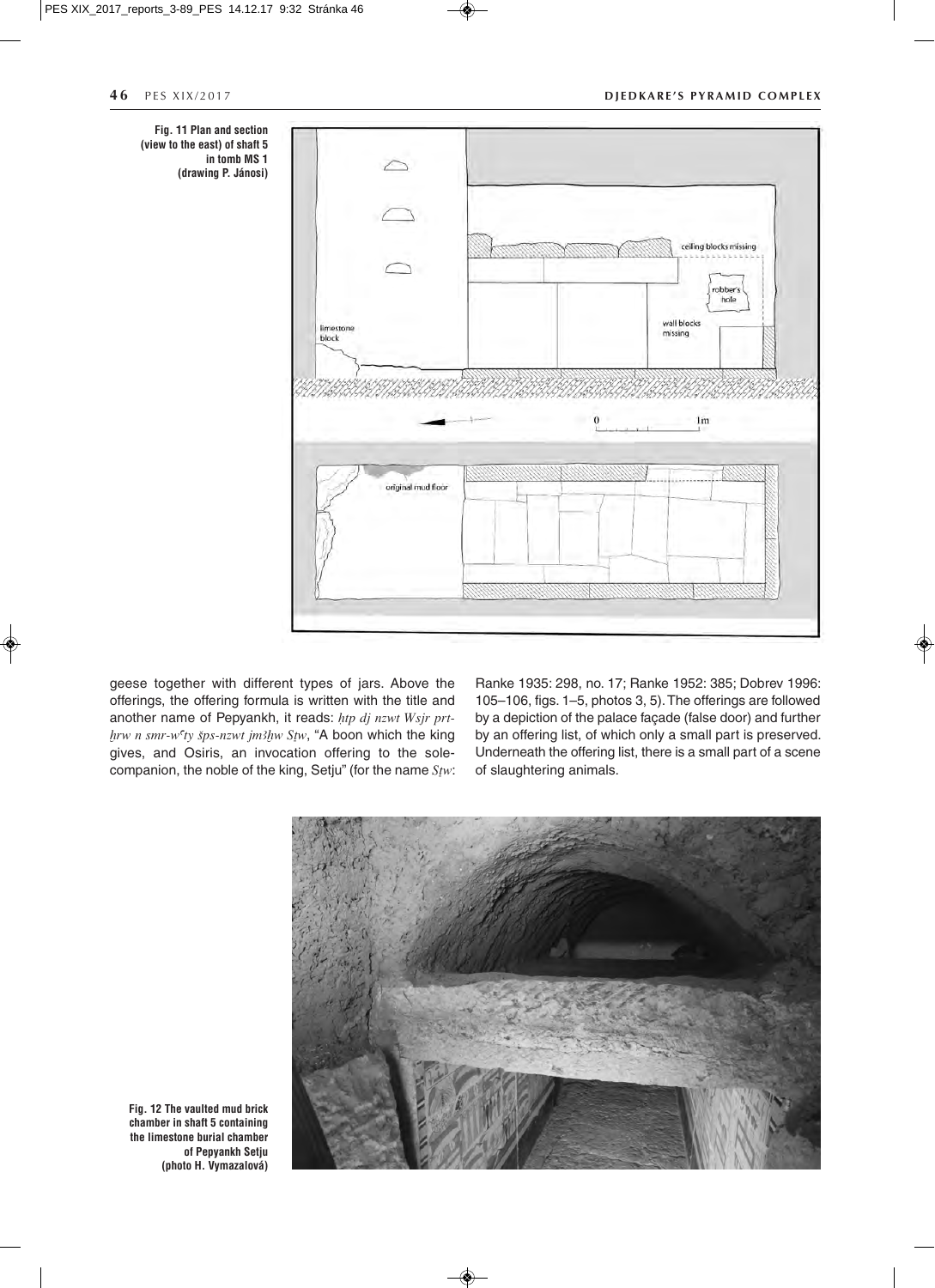#### **46** PES XIX/2017 **DIEDKARE'S PYRAMID COMPLEX**



geese together with different types of jars. Above the offerings, the offering formula is written with the title and another name of Pepyankh, it reads:  $htp$  dj nzwt Wsjr prt $h r w n s m r$ -w'ty šps-nzwt jm3hw Stw, "A boon which the king gives, and Osiris, an invocation offering to the solecompanion, the noble of the king, Setju" (for the name  $S_{\text{fw}}$ : Ranke 1935: 298, no. 17; Ranke 1952: 385; Dobrev 1996: 105–106, figs. 1–5, photos 3, 5). The offerings are followed by a depiction of the palace façade (false door) and further by an offering list, of which only a small part is preserved. Underneath the offering list, there is a small part of a scene of slaughtering animals.



**Fig. 12 The vaulted mud brick chamber in shaft 5 containing the limestone burial chamber of Pepyankh Setju (photo H. Vymazalová)**

 $\bigcirc$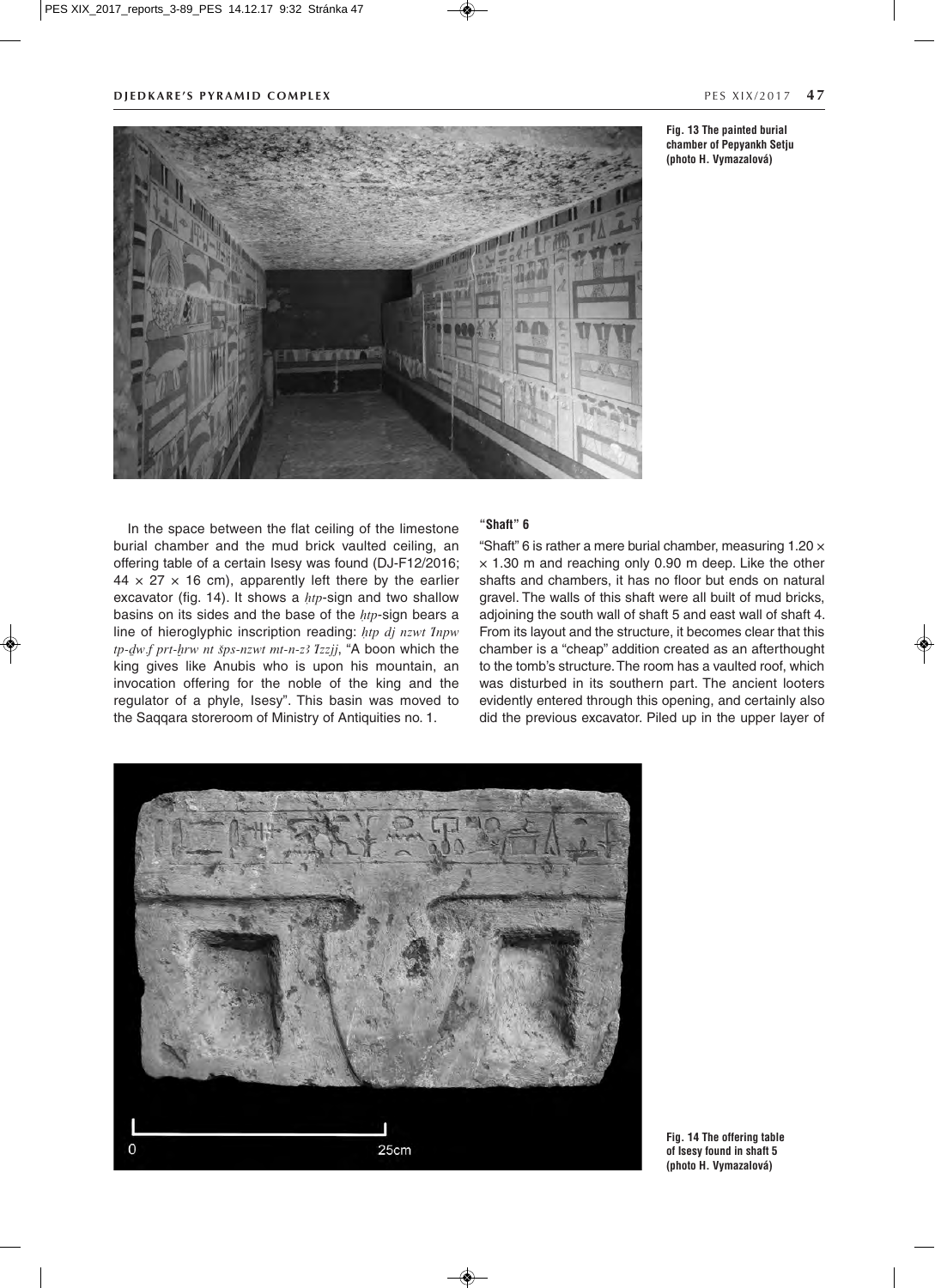

**Fig. 13 The painted burial**

**chamber of Pepyankh Setju (photo H. Vymazalová)**

In the space between the flat ceiling of the limestone burial chamber and the mud brick vaulted ceiling, an offering table of a certain Isesy was found (DJ-F12/2016;  $44 \times 27 \times 16$  cm), apparently left there by the earlier excavator (fig. 14). It shows a  $htp$ -sign and two shallow basins on its sides and the base of the  $htp$ -sign bears a line of hieroglyphic inscription reading:  $htp$  dj nzwt Inpw  $tp$ - $dw$ ,  $f$   $prt$ - $h$ rw nt  $sys$ -nzwt mt-n-z3  $I$ zzjj, "A boon which the king gives like Anubis who is upon his mountain, an invocation offering for the noble of the king and the regulator of a phyle, Isesy". This basin was moved to the Saqqara storeroom of Ministry of Antiquities no. 1.

### **"Shaft" 6**

"Shaft" 6 is rather a mere burial chamber, measuring 1.20 ×  $\times$  1.30 m and reaching only 0.90 m deep. Like the other shafts and chambers, it has no floor but ends on natural gravel. The walls of this shaft were all built of mud bricks, adjoining the south wall of shaft 5 and east wall of shaft 4. From its layout and the structure, it becomes clear that this chamber is a "cheap" addition created as an afterthought to the tomb's structure. The room has a vaulted roof, which was disturbed in its southern part. The ancient looters evidently entered through this opening, and certainly also did the previous excavator. Piled up in the upper layer of



**Fig. 14 The offering table of Isesy found in shaft 5 (photo H. Vymazalová)**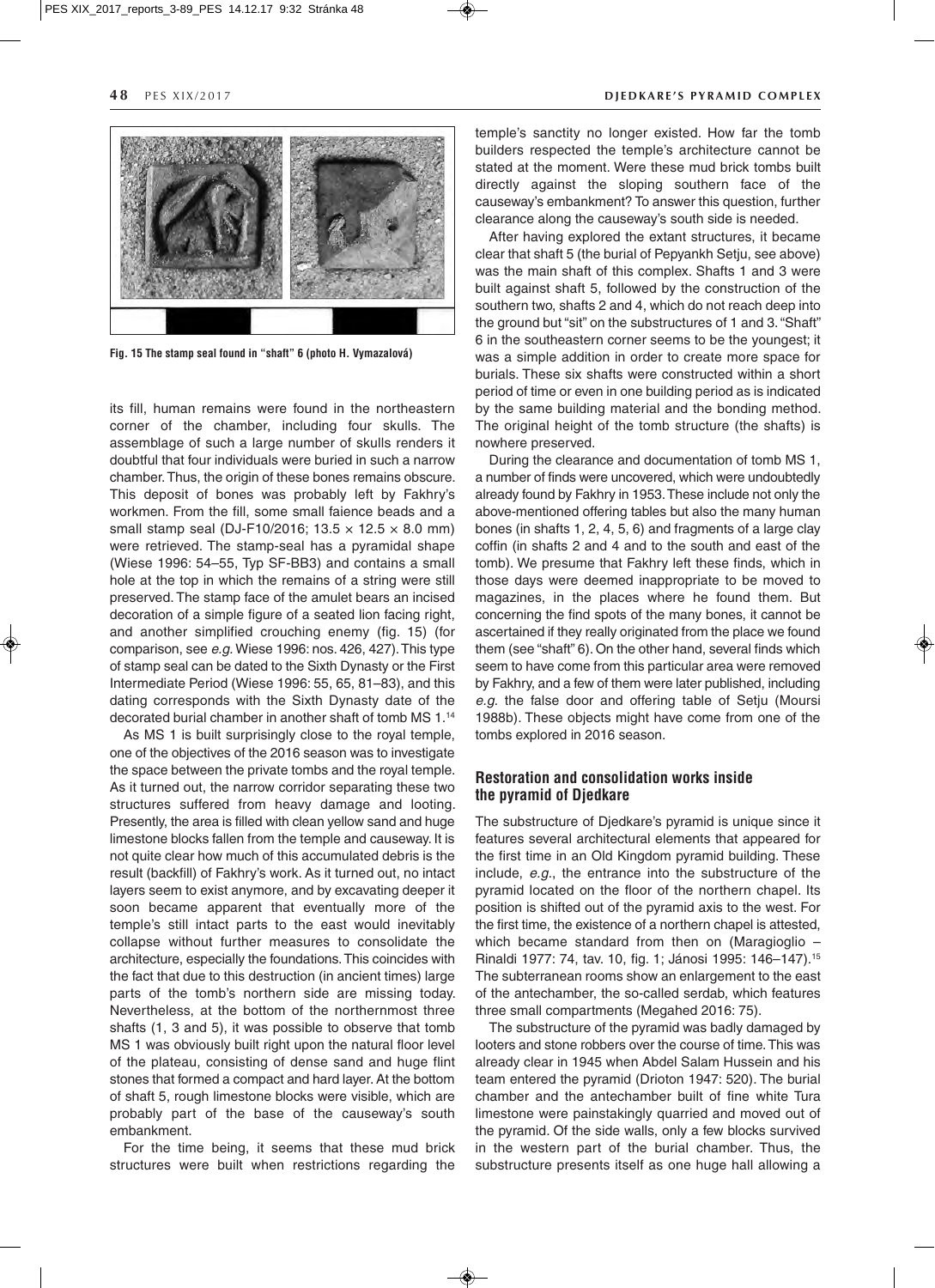

**Fig. 15 The stamp seal found in "shaft" 6 (photo H. Vymazalová)**

its fill, human remains were found in the northeastern corner of the chamber, including four skulls. The assemblage of such a large number of skulls renders it doubtful that four individuals were buried in such a narrow chamber. Thus, the origin of these bones remains obscure. This deposit of bones was probably left by Fakhry's workmen. From the fill, some small faience beads and a small stamp seal (DJ-F10/2016;  $13.5 \times 12.5 \times 8.0$  mm) were retrieved. The stamp-seal has a pyramidal shape (Wiese 1996: 54–55, Typ SF-BB3) and contains a small hole at the top in which the remains of a string were still preserved. The stamp face of the amulet bears an incised decoration of a simple figure of a seated lion facing right, and another simplified crouching enemy (fig. 15) (for comparison, see *e.g.* Wiese 1996: nos. 426, 427). This type of stamp seal can be dated to the Sixth Dynasty or the First Intermediate Period (Wiese 1996: 55, 65, 81–83), and this dating corresponds with the Sixth Dynasty date of the decorated burial chamber in another shaft of tomb MS 1.14

As MS 1 is built surprisingly close to the royal temple, one of the objectives of the 2016 season was to investigate the space between the private tombs and the royal temple. As it turned out, the narrow corridor separating these two structures suffered from heavy damage and looting. Presently, the area is filled with clean yellow sand and huge limestone blocks fallen from the temple and causeway. It is not quite clear how much of this accumulated debris is the result (backfill) of Fakhry's work. As it turned out, no intact layers seem to exist anymore, and by excavating deeper it soon became apparent that eventually more of the temple's still intact parts to the east would inevitably collapse without further measures to consolidate the architecture, especially the foundations. This coincides with the fact that due to this destruction (in ancient times) large parts of the tomb's northern side are missing today. Nevertheless, at the bottom of the northernmost three shafts (1, 3 and 5), it was possible to observe that tomb MS 1 was obviously built right upon the natural floor level of the plateau, consisting of dense sand and huge flint stones that formed a compact and hard layer. At the bottom of shaft 5, rough limestone blocks were visible, which are probably part of the base of the causeway's south embankment.

For the time being, it seems that these mud brick structures were built when restrictions regarding the

#### **48** PES XIX/2017 **DIEDKARE'S PYRAMID COMPLEX**

temple's sanctity no longer existed. How far the tomb builders respected the temple's architecture cannot be stated at the moment. Were these mud brick tombs built directly against the sloping southern face of the causeway's embankment? To answer this question, further clearance along the causeway's south side is needed.

After having explored the extant structures, it became clear that shaft 5 (the burial of Pepyankh Setju, see above) was the main shaft of this complex. Shafts 1 and 3 were built against shaft 5, followed by the construction of the southern two, shafts 2 and 4, which do not reach deep into the ground but "sit" on the substructures of 1 and 3. "Shaft" 6 in the southeastern corner seems to be the youngest; it was a simple addition in order to create more space for burials. These six shafts were constructed within a short period of time or even in one building period as is indicated by the same building material and the bonding method. The original height of the tomb structure (the shafts) is nowhere preserved.

During the clearance and documentation of tomb MS 1, a number of finds were uncovered, which were undoubtedly already found by Fakhry in 1953. These include not only the above-mentioned offering tables but also the many human bones (in shafts 1, 2, 4, 5, 6) and fragments of a large clay coffin (in shafts 2 and 4 and to the south and east of the tomb). We presume that Fakhry left these finds, which in those days were deemed inappropriate to be moved to magazines, in the places where he found them. But concerning the find spots of the many bones, it cannot be ascertained if they really originated from the place we found them (see "shaft" 6). On the other hand, several finds which seem to have come from this particular area were removed by Fakhry, and a few of them were later published, including *e.g.* the false door and offering table of Setju (Moursi 1988b). These objects might have come from one of the tombs explored in 2016 season.

# **Restoration and consolidation works inside the pyramid of Djedkare**

The substructure of Djedkare's pyramid is unique since it features several architectural elements that appeared for the first time in an Old Kingdom pyramid building. These include, *e.g.*, the entrance into the substructure of the pyramid located on the floor of the northern chapel. Its position is shifted out of the pyramid axis to the west. For the first time, the existence of a northern chapel is attested, which became standard from then on (Maragioglio – Rinaldi 1977: 74, tav. 10, fig. 1; Jánosi 1995: 146–147).15 The subterranean rooms show an enlargement to the east of the antechamber, the so-called serdab, which features three small compartments (Megahed 2016: 75).

The substructure of the pyramid was badly damaged by looters and stone robbers over the course of time. This was already clear in 1945 when Abdel Salam Hussein and his team entered the pyramid (Drioton 1947: 520). The burial chamber and the antechamber built of fine white Tura limestone were painstakingly quarried and moved out of the pyramid. Of the side walls, only a few blocks survived in the western part of the burial chamber. Thus, the substructure presents itself as one huge hall allowing a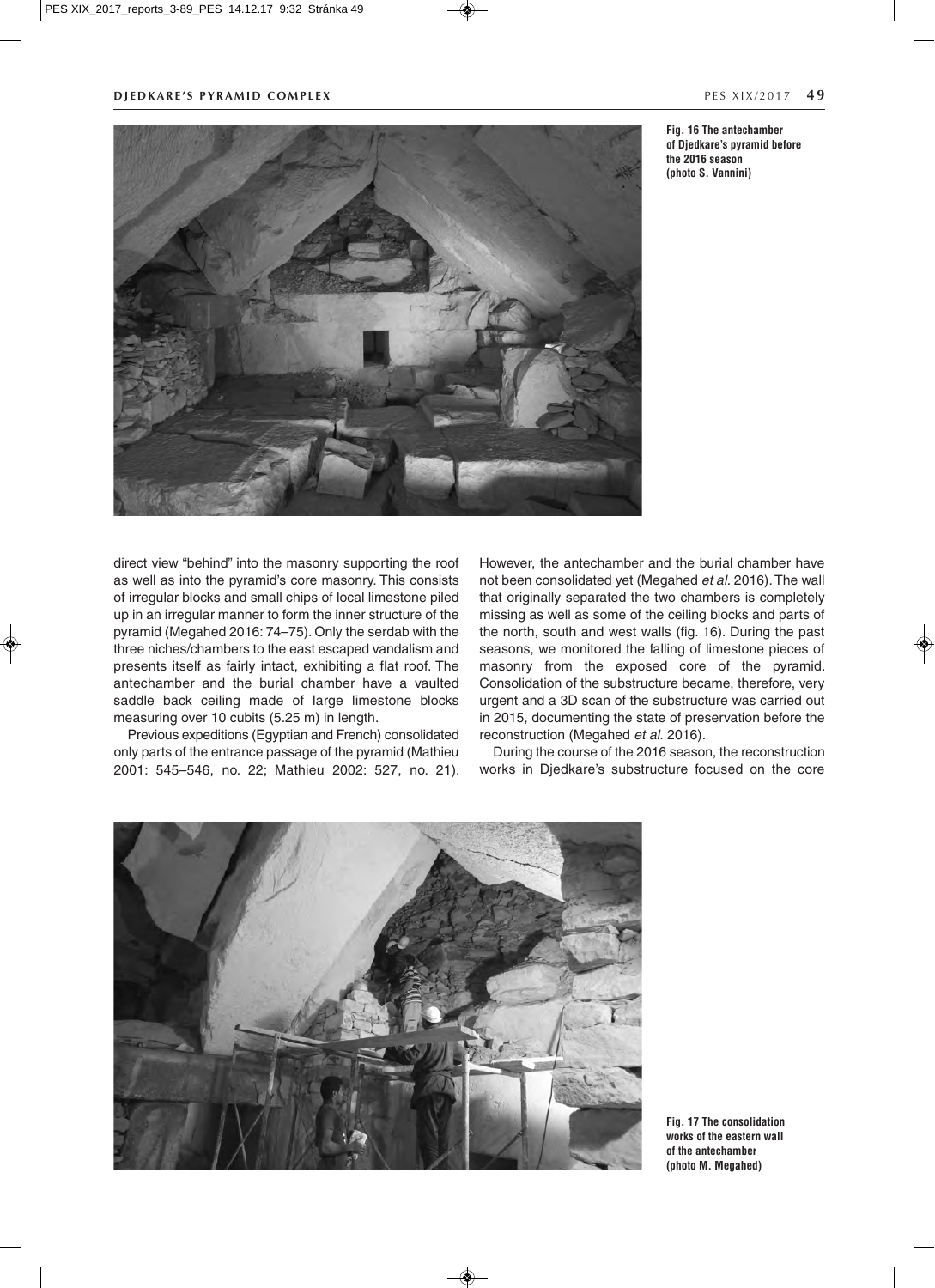

**Fig. 16 The antechamber of Djedkare's pyramid before the 2016 season (photo S. Vannini)**

direct view "behind" into the masonry supporting the roof as well as into the pyramid's core masonry. This consists of irregular blocks and small chips of local limestone piled up in an irregular manner to form the inner structure of the pyramid (Megahed 2016: 74–75). Only the serdab with the three niches/chambers to the east escaped vandalism and presents itself as fairly intact, exhibiting a flat roof. The antechamber and the burial chamber have a vaulted saddle back ceiling made of large limestone blocks measuring over 10 cubits (5.25 m) in length.

Previous expeditions (Egyptian and French) consolidated only parts of the entrance passage of the pyramid (Mathieu 2001: 545–546, no. 22; Mathieu 2002: 527, no. 21). However, the antechamber and the burial chamber have not been consolidated yet (Megahed *et al.* 2016). The wall that originally separated the two chambers is completely missing as well as some of the ceiling blocks and parts of the north, south and west walls (fig. 16). During the past seasons, we monitored the falling of limestone pieces of masonry from the exposed core of the pyramid. Consolidation of the substructure became, therefore, very urgent and a 3D scan of the substructure was carried out in 2015, documenting the state of preservation before the reconstruction (Megahed *et al.* 2016).

During the course of the 2016 season, the reconstruction works in Djedkare's substructure focused on the core



**Fig. 17 The consolidation works of the eastern wall of the antechamber (photo M. Megahed)**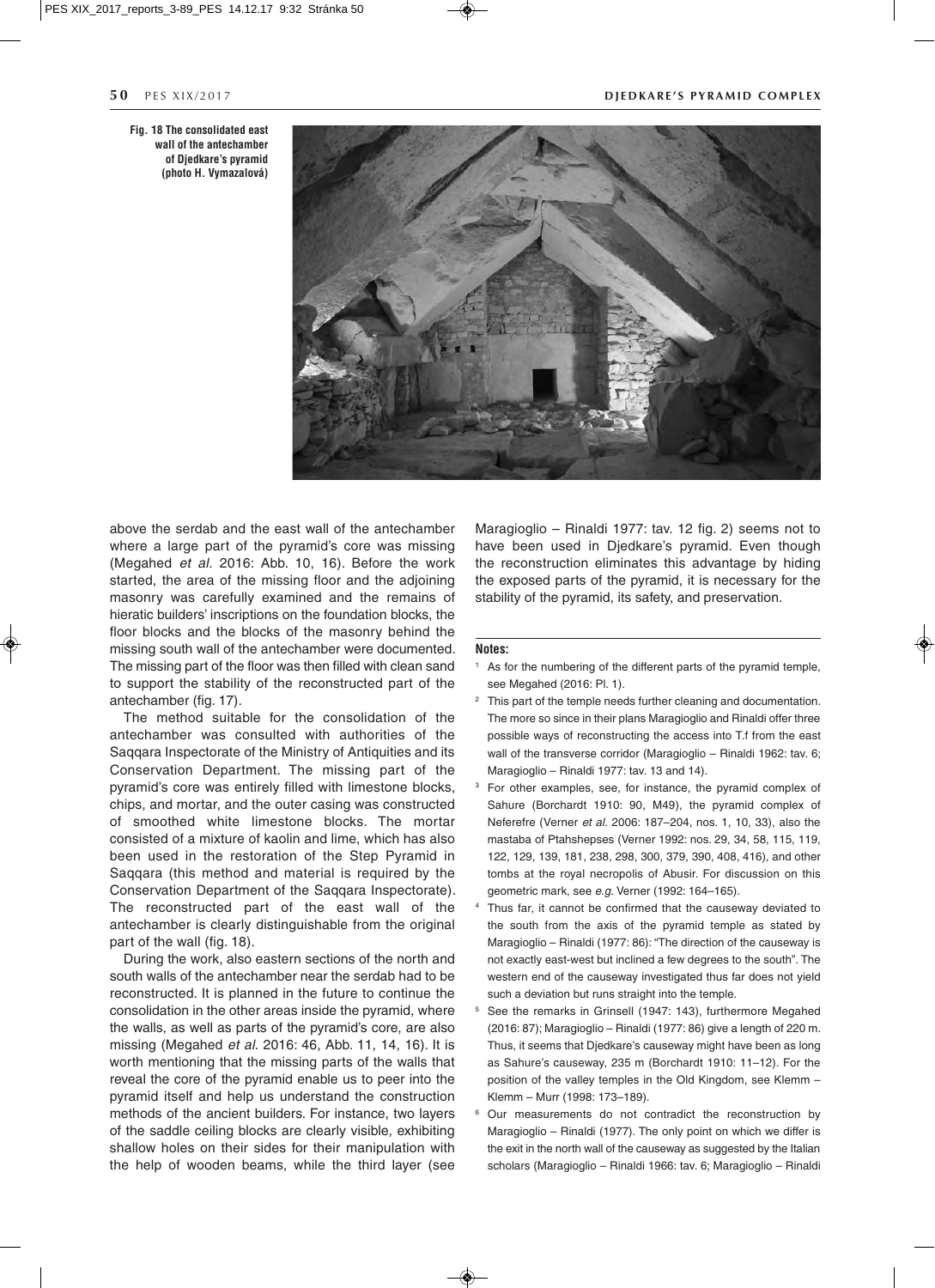**Fig. 18 The consolidated east wall of the antechamber of Djedkare's pyramid (photo H. Vymazalová)**

#### **50** PFS XIX/2017 **DIEDKARE'S PYRAMID COMPLEX**



above the serdab and the east wall of the antechamber where a large part of the pyramid's core was missing (Megahed *et al.* 2016: Abb. 10, 16). Before the work started, the area of the missing floor and the adjoining masonry was carefully examined and the remains of hieratic builders' inscriptions on the foundation blocks, the floor blocks and the blocks of the masonry behind the missing south wall of the antechamber were documented. The missing part of the floor was then filled with clean sand to support the stability of the reconstructed part of the antechamber (fig. 17).

The method suitable for the consolidation of the antechamber was consulted with authorities of the Saqqara Inspectorate of the Ministry of Antiquities and its Conservation Department. The missing part of the pyramid's core was entirely filled with limestone blocks, chips, and mortar, and the outer casing was constructed of smoothed white limestone blocks. The mortar consisted of a mixture of kaolin and lime, which has also been used in the restoration of the Step Pyramid in Saqqara (this method and material is required by the Conservation Department of the Saqqara Inspectorate). The reconstructed part of the east wall of the antechamber is clearly distinguishable from the original part of the wall (fig. 18).

During the work, also eastern sections of the north and south walls of the antechamber near the serdab had to be reconstructed. It is planned in the future to continue the consolidation in the other areas inside the pyramid, where the walls, as well as parts of the pyramid's core, are also missing (Megahed *et al.* 2016: 46, Abb. 11, 14, 16). It is worth mentioning that the missing parts of the walls that reveal the core of the pyramid enable us to peer into the pyramid itself and help us understand the construction methods of the ancient builders. For instance, two layers of the saddle ceiling blocks are clearly visible, exhibiting shallow holes on their sides for their manipulation with the help of wooden beams, while the third layer (see

Maragioglio – Rinaldi 1977: tav. 12 fig. 2) seems not to have been used in Djedkare's pyramid. Even though the reconstruction eliminates this advantage by hiding the exposed parts of the pyramid, it is necessary for the stability of the pyramid, its safety, and preservation.

#### **Notes:**

- As for the numbering of the different parts of the pyramid temple, see Megahed (2016: Pl. 1).
- This part of the temple needs further cleaning and documentation. The more so since in their plans Maragioglio and Rinaldi offer three possible ways of reconstructing the access into T.f from the east wall of the transverse corridor (Maragioglio – Rinaldi 1962: tav. 6; Maragioglio – Rinaldi 1977: tav. 13 and 14).
- For other examples, see, for instance, the pyramid complex of Sahure (Borchardt 1910: 90, M49), the pyramid complex of Neferefre (Verner *et al.* 2006: 187–204, nos. 1, 10, 33), also the mastaba of Ptahshepses (Verner 1992: nos. 29, 34, 58, 115, 119, 122, 129, 139, 181, 238, 298, 300, 379, 390, 408, 416), and other tombs at the royal necropolis of Abusir. For discussion on this geometric mark, see *e.g.* Verner (1992: 164–165).
- Thus far, it cannot be confirmed that the causeway deviated to the south from the axis of the pyramid temple as stated by Maragioglio – Rinaldi (1977: 86): "The direction of the causeway is not exactly east-west but inclined a few degrees to the south". The western end of the causeway investigated thus far does not yield such a deviation but runs straight into the temple.
- <sup>5</sup> See the remarks in Grinsell (1947: 143), furthermore Megahed (2016: 87); Maragioglio – Rinaldi (1977: 86) give a length of 220 m. Thus, it seems that Djedkare's causeway might have been as long as Sahure's causeway, 235 m (Borchardt 1910: 11–12). For the position of the valley temples in the Old Kingdom, see Klemm – Klemm – Murr (1998: 173–189).
- Our measurements do not contradict the reconstruction by Maragioglio – Rinaldi (1977). The only point on which we differ is the exit in the north wall of the causeway as suggested by the Italian scholars (Maragioglio – Rinaldi 1966: tav. 6; Maragioglio – Rinaldi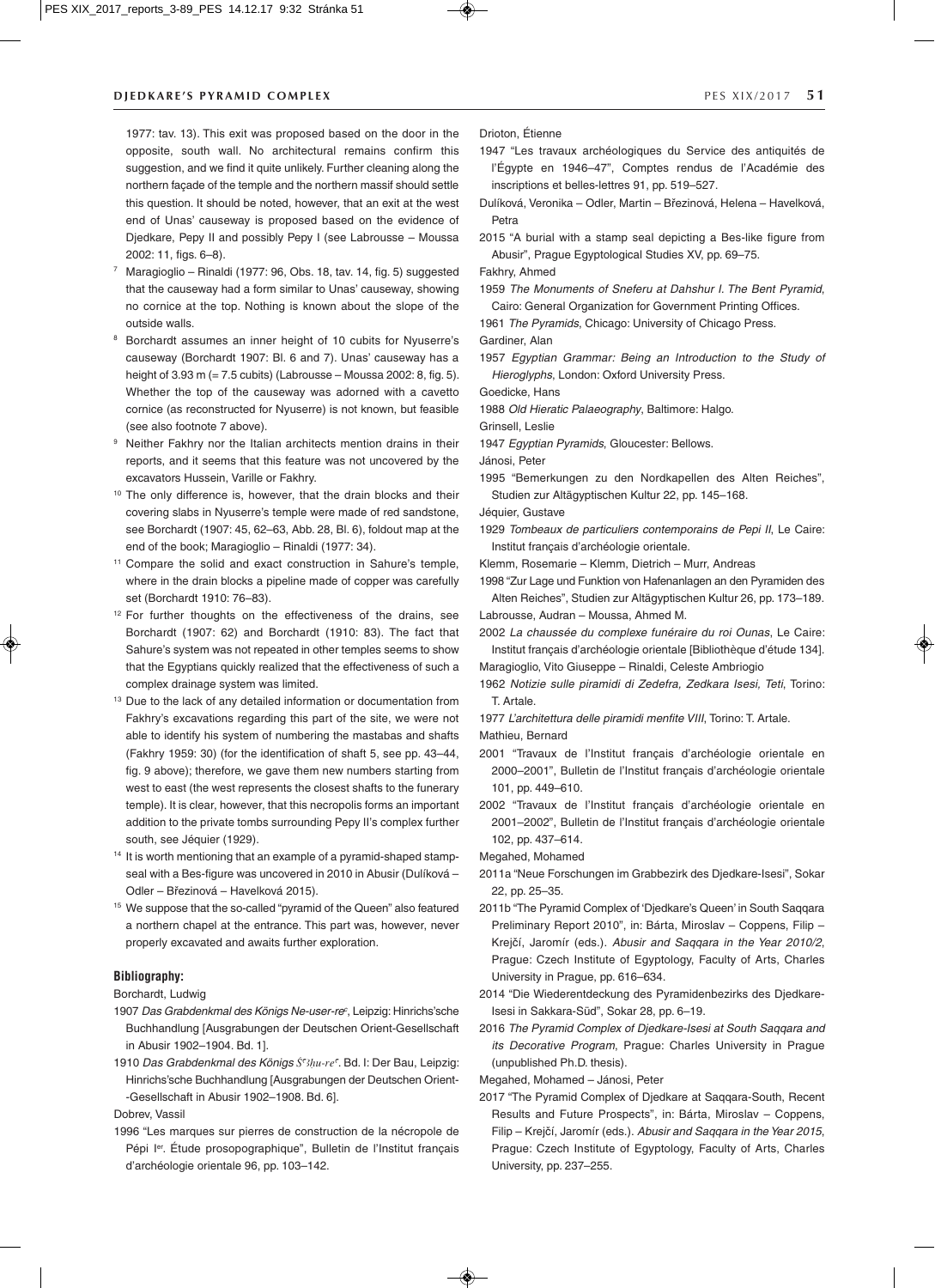### **DIEDKARE'S PYRAMID COMPLEX EXECUTE:** THE SALUATE STATE RESTRIKING THE STATE STATE STATE STATE STATE STATE STATE STATE STATE STATE STATE STATE STATE STATE STATE STATE STATE STATE STATE STATE STATE STATE STATE STATE STATE

1977: tav. 13). This exit was proposed based on the door in the opposite, south wall. No architectural remains confirm this suggestion, and we find it quite unlikely. Further cleaning along the northern façade of the temple and the northern massif should settle this question. It should be noted, however, that an exit at the west end of Unas' causeway is proposed based on the evidence of Djedkare, Pepy II and possibly Pepy I (see Labrousse – Moussa 2002: 11, figs. 6–8).

- <sup>7</sup> Maragioglio Rinaldi (1977: 96, Obs. 18, tav. 14, fig. 5) suggested that the causeway had a form similar to Unas' causeway, showing no cornice at the top. Nothing is known about the slope of the outside walls.
- <sup>8</sup> Borchardt assumes an inner height of 10 cubits for Nyuserre's causeway (Borchardt 1907: Bl. 6 and 7). Unas' causeway has a height of 3.93 m (= 7.5 cubits) (Labrousse – Moussa 2002: 8, fig. 5). Whether the top of the causeway was adorned with a cavetto cornice (as reconstructed for Nyuserre) is not known, but feasible (see also footnote 7 above).
- <sup>9</sup> Neither Fakhry nor the Italian architects mention drains in their reports, and it seems that this feature was not uncovered by the excavators Hussein, Varille or Fakhry.
- <sup>10</sup> The only difference is, however, that the drain blocks and their covering slabs in Nyuserre's temple were made of red sandstone, see Borchardt (1907: 45, 62–63, Abb. 28, Bl. 6), foldout map at the end of the book; Maragioglio – Rinaldi (1977: 34).
- <sup>11</sup> Compare the solid and exact construction in Sahure's temple, where in the drain blocks a pipeline made of copper was carefully set (Borchardt 1910: 76–83).
- <sup>12</sup> For further thoughts on the effectiveness of the drains, see Borchardt (1907: 62) and Borchardt (1910: 83). The fact that Sahure's system was not repeated in other temples seems to show that the Egyptians quickly realized that the effectiveness of such a complex drainage system was limited.
- <sup>13</sup> Due to the lack of any detailed information or documentation from Fakhry's excavations regarding this part of the site, we were not able to identify his system of numbering the mastabas and shafts (Fakhry 1959: 30) (for the identification of shaft 5, see pp. 43–44, fig. 9 above); therefore, we gave them new numbers starting from west to east (the west represents the closest shafts to the funerary temple). It is clear, however, that this necropolis forms an important addition to the private tombs surrounding Pepy II's complex further south, see Jéquier (1929).
- <sup>14</sup> It is worth mentioning that an example of a pyramid-shaped stampseal with a Bes-figure was uncovered in 2010 in Abusir (Dulíková – Odler – Březinová – Havelková 2015).
- <sup>15</sup> We suppose that the so-called "pyramid of the Queen" also featured a northern chapel at the entrance. This part was, however, never properly excavated and awaits further exploration.

#### **Bibliography:**

Borchardt, Ludwig

- 1907 *Das Grabdenkmal des Königs Ne-user-rec* , Leipzig: Hinrichs'sche Buchhandlung [Ausgrabungen der Deutschen Orient-Gesellschaft in Abusir 1902–1904. Bd. 1].
- 1910 *Das Grabdenkmal des Königs Ś<sup>cz</sup>hu-re*<sup>c</sup>. Bd. I: Der Bau, Leipzig: Hinrichs'sche Buchhandlung [Ausgrabungen der Deutschen Orient- -Gesellschaft in Abusir 1902–1908. Bd. 6].

Dobrev, Vassil

1996 "Les marques sur pierres de construction de la nécropole de Pépi I<sup>er</sup>. Étude prosopographique", Bulletin de l'Institut français d'archéologie orientale 96, pp. 103–142.

Drioton, Étienne

- 1947 "Les travaux archéologiques du Service des antiquités de l'Égypte en 1946–47", Comptes rendus de l'Académie des inscriptions et belles-lettres 91, pp. 519–527.
- Dulíková, Veronika Odler, Martin Březinová, Helena Havelková, Petra
- 2015 "A burial with a stamp seal depicting a Bes-like figure from Abusir", Prague Egyptological Studies XV, pp. 69–75.

Fakhry, Ahmed

1959 *The Monuments of Sneferu at Dahshur I. The Bent Pyramid*, Cairo: General Organization for Government Printing Offices.

1961 *The Pyramids*, Chicago: University of Chicago Press.

Gardiner, Alan

1957 *Egyptian Grammar: Being an Introduction to the Study of Hieroglyphs*, London: Oxford University Press.

Goedicke, Hans

1988 *Old Hieratic Palaeography*, Baltimore: Halgo.

Grinsell, Leslie

1947 *Egyptian Pyramids*, Gloucester: Bellows.

Jánosi, Peter

1995 "Bemerkungen zu den Nordkapellen des Alten Reiches", Studien zur Altägyptischen Kultur 22, pp. 145–168.

Jéquier, Gustave

- 1929 *Tombeaux de particuliers contemporains de Pepi II*, Le Caire: Institut français d'archéologie orientale.
- Klemm, Rosemarie Klemm, Dietrich Murr, Andreas
- 1998 "Zur Lage und Funktion von Hafenanlagen an den Pyramiden des Alten Reiches", Studien zur Altägyptischen Kultur 26, pp. 173–189.

Labrousse, Audran – Moussa, Ahmed M.

2002 *La chaussée du complexe funéraire du roi Ounas*, Le Caire: Institut français d'archéologie orientale [Bibliothèque d'étude 134].

Maragioglio, Vito Giuseppe – Rinaldi, Celeste Ambriogio

- 1962 *Notizie sulle piramidi di Zedefra, Zedkara Isesi, Teti*, Torino: T. Artale.
- 1977 *L'architettura delle piramidi menfite VIII*, Torino: T. Artale. Mathieu, Bernard
- 2001 "Travaux de l'Institut français d'archéologie orientale en 2000–2001", Bulletin de l'Institut français d'archéologie orientale 101, pp. 449–610.
- 2002 "Travaux de l'Institut français d'archéologie orientale en 2001–2002", Bulletin de l'Institut français d'archéologie orientale 102, pp. 437–614.

Megahed, Mohamed

- 2011a "Neue Forschungen im Grabbezirk des Djedkare-Isesi", Sokar 22, pp. 25–35.
- 2011b "The Pyramid Complex of 'Djedkare's Queen' in South Saqqara Preliminary Report 2010", in: Bárta, Miroslav – Coppens, Filip – Krejčí, Jaromír (eds.). *Abusir and Saqqara in the Year 2010/2*, Prague: Czech Institute of Egyptology, Faculty of Arts, Charles University in Prague, pp. 616–634.
- 2014 "Die Wiederentdeckung des Pyramidenbezirks des Djedkare-Isesi in Sakkara-Süd", Sokar 28, pp. 6–19.
- 2016 *The Pyramid Complex of Djedkare-Isesi at South Saqqara and its Decorative Program*, Prague: Charles University in Prague (unpublished Ph.D. thesis).

Megahed, Mohamed – Jánosi, Peter

◈

2017 "The Pyramid Complex of Djedkare at Saqqara-South, Recent Results and Future Prospects", in: Bárta, Miroslav – Coppens, Filip – Krejčí, Jaromír (eds.). *Abusir and Saqqara in the Year 2015*, Prague: Czech Institute of Egyptology, Faculty of Arts, Charles University, pp. 237–255.